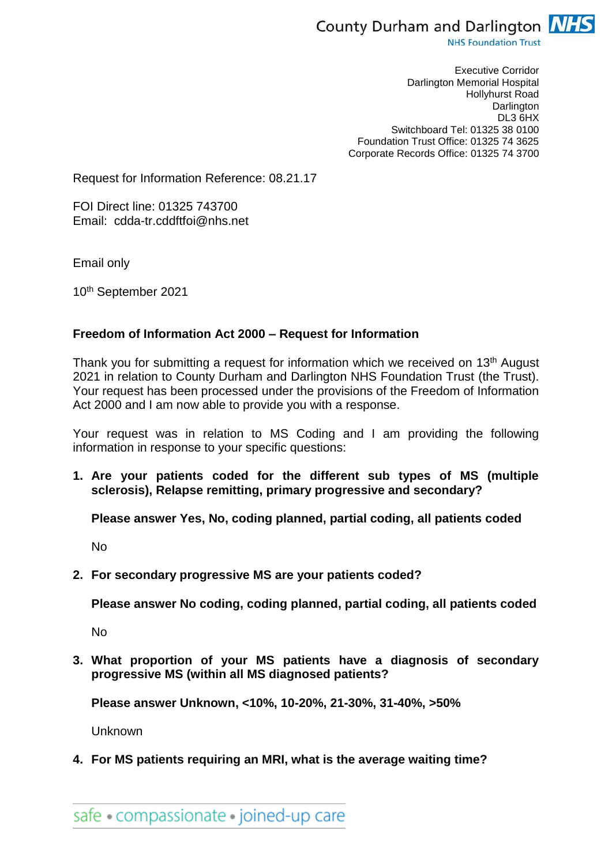

**NHS Foundation Trust** 

Executive Corridor Darlington Memorial Hospital Hollyhurst Road **Darlington** DL3 6HX Switchboard Tel: 01325 38 0100 Foundation Trust Office: 01325 74 3625 Corporate Records Office: 01325 74 3700

Request for Information Reference: 08.21.17

FOI Direct line: 01325 743700 Email: cdda-tr.cddftfoi@nhs.net

Email only

10th September 2021

#### **Freedom of Information Act 2000 – Request for Information**

Thank you for submitting a request for information which we received on 13<sup>th</sup> August 2021 in relation to County Durham and Darlington NHS Foundation Trust (the Trust). Your request has been processed under the provisions of the Freedom of Information Act 2000 and I am now able to provide you with a response.

Your request was in relation to MS Coding and I am providing the following information in response to your specific questions:

**1. Are your patients coded for the different sub types of MS (multiple sclerosis), Relapse remitting, primary progressive and secondary?**

**Please answer Yes, No, coding planned, partial coding, all patients coded**

No

**2. For secondary progressive MS are your patients coded?**

**Please answer No coding, coding planned, partial coding, all patients coded**

No

**3. What proportion of your MS patients have a diagnosis of secondary progressive MS (within all MS diagnosed patients?**

**Please answer Unknown, <10%, 10-20%, 21-30%, 31-40%, >50%**

Unknown

**4. For MS patients requiring an MRI, what is the average waiting time?**

safe • compassionate • joined-up care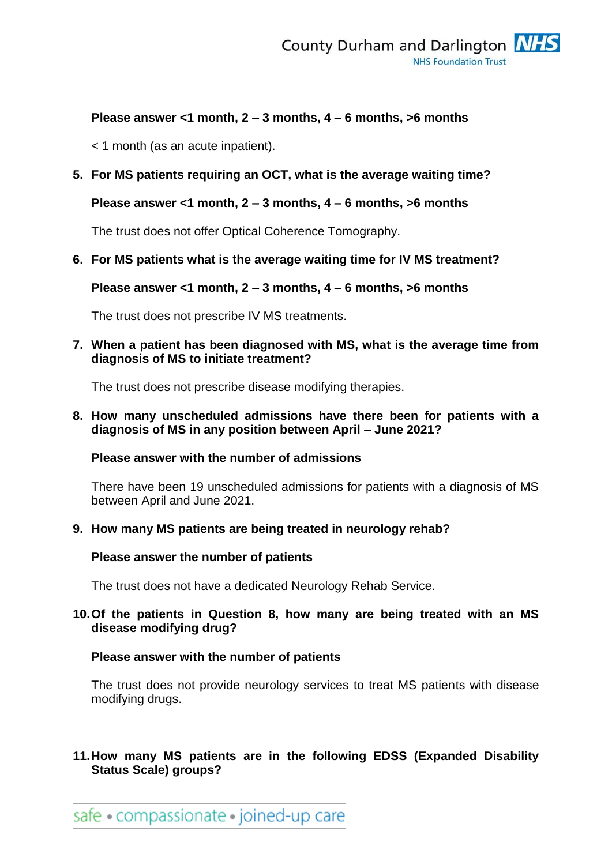## **Please answer <1 month, 2 – 3 months, 4 – 6 months, >6 months**

< 1 month (as an acute inpatient).

# **5. For MS patients requiring an OCT, what is the average waiting time?**

### **Please answer <1 month, 2 – 3 months, 4 – 6 months, >6 months**

The trust does not offer Optical Coherence Tomography.

### **6. For MS patients what is the average waiting time for IV MS treatment?**

**Please answer <1 month, 2 – 3 months, 4 – 6 months, >6 months**

The trust does not prescribe IV MS treatments.

### **7. When a patient has been diagnosed with MS, what is the average time from diagnosis of MS to initiate treatment?**

The trust does not prescribe disease modifying therapies.

#### **8. How many unscheduled admissions have there been for patients with a diagnosis of MS in any position between April – June 2021?**

### **Please answer with the number of admissions**

There have been 19 unscheduled admissions for patients with a diagnosis of MS between April and June 2021.

### **9. How many MS patients are being treated in neurology rehab?**

### **Please answer the number of patients**

The trust does not have a dedicated Neurology Rehab Service.

### **10.Of the patients in Question 8, how many are being treated with an MS disease modifying drug?**

### **Please answer with the number of patients**

The trust does not provide neurology services to treat MS patients with disease modifying drugs.

# **11.How many MS patients are in the following EDSS (Expanded Disability Status Scale) groups?**